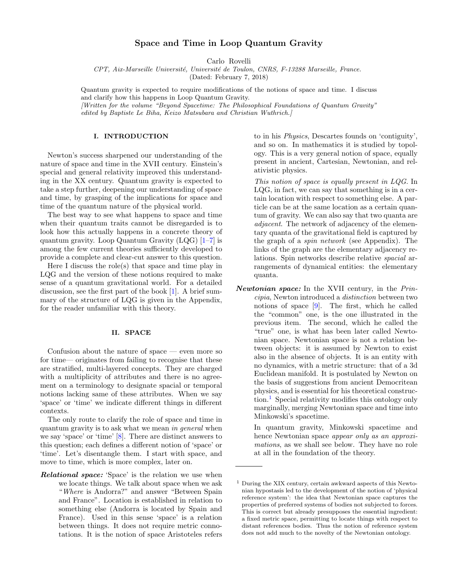# Space and Time in Loop Quantum Gravity

Carlo Rovelli

CPT, Aix-Marseille Université, Université de Toulon, CNRS, F-13288 Marseille, France.

(Dated: February 7, 2018)

Quantum gravity is expected to require modifications of the notions of space and time. I discuss and clarify how this happens in Loop Quantum Gravity.

[Written for the volume "Beyond Spacetime: The Philosophical Foundations of Quantum Gravity" edited by Baptiste Le Biha, Keizo Matsubara and Christian Wuthrich.]

## I. INTRODUCTION

Newton's success sharpened our understanding of the nature of space and time in the XVII century. Einstein's special and general relativity improved this understanding in the XX century. Quantum gravity is expected to take a step further, deepening our understanding of space and time, by grasping of the implications for space and time of the quantum nature of the physical world.

The best way to see what happens to space and time when their quantum traits cannot be disregarded is to look how this actually happens in a concrete theory of quantum gravity. Loop Quantum Gravity  $(LQG)$  [\[1–](#page-6-0)[7\]](#page-6-1) is among the few current theories sufficiently developed to provide a complete and clear-cut answer to this question.

Here I discuss the role(s) that space and time play in LQG and the version of these notions required to make sense of a quantum gravitational world. For a detailed discussion, see the first part of the book [\[1\]](#page-6-0). A brief summary of the structure of LQG is given in the Appendix, for the reader unfamiliar with this theory.

### II. SPACE

Confusion about the nature of space — even more so for time— originates from failing to recognise that these are stratified, multi-layered concepts. They are charged with a multiplicity of attributes and there is no agreement on a terminology to designate spacial or temporal notions lacking same of these attributes. When we say 'space' or 'time' we indicate different things in different contexts.

The only route to clarify the role of space and time in quantum gravity is to ask what we mean in general when we say 'space' or 'time' [\[8\]](#page-6-2). There are distinct answers to this question; each defines a different notion of 'space' or 'time'. Let's disentangle them. I start with space, and move to time, which is more complex, later on.

**Relational space:** 'Space' is the relation we use when we locate things. We talk about space when we ask "Where is Andorra?" and answer "Between Spain and France". Location is established in relation to something else (Andorra is located by Spain and France). Used in this sense 'space' is a relation between things. It does not require metric connotations. It is the notion of space Aristoteles refers

to in his Physics, Descartes founds on 'contiguity', and so on. In mathematics it is studied by topology. This is a very general notion of space, equally present in ancient, Cartesian, Newtonian, and relativistic physics.

This notion of space is equally present in LQG. In LQG, in fact, we can say that something is in a certain location with respect to something else. A particle can be at the same location as a certain quantum of gravity. We can also say that two quanta are adjacent. The network of adjacency of the elementary quanta of the gravitational field is captured by the graph of a spin network (see Appendix). The links of the graph are the elementary adjacency relations. Spin networks describe relative spacial arrangements of dynamical entities: the elementary quanta.

Newtonian space: In the XVII century, in the Principia, Newton introduced a distinction between two notions of space [\[9\]](#page-6-3). The first, which he called the "common" one, is the one illustrated in the previous item. The second, which he called the "true" one, is what has been later called Newtonian space. Newtonian space is not a relation between objects: it is assumed by Newton to exist also in the absence of objects. It is an entity with no dynamics, with a metric structure: that of a 3d Euclidean manifold. It is postulated by Newton on the basis of suggestions from ancient Democritean physics, and is essential for his theoretical construction.[1](#page-0-0) Special relativity modifies this ontology only marginally, merging Newtonian space and time into Minkowski's spacetime.

In quantum gravity, Minkowski spacetime and hence Newtonian space appear only as an approximations, as we shall see below. They have no role at all in the foundation of the theory.

<span id="page-0-0"></span> $^{\rm 1}$  During the XIX century, certain awkward aspects of this Newtonian hypostasis led to the development of the notion of 'physical reference system': the idea that Newtonian space captures the properties of preferred systems of bodies not subjected to forces. This is correct but already presupposes the essential ingredient: a fixed metric space, permitting to locate things with respect to distant references bodies. Thus the notion of reference system does not add much to the novelty of the Newtonian ontology.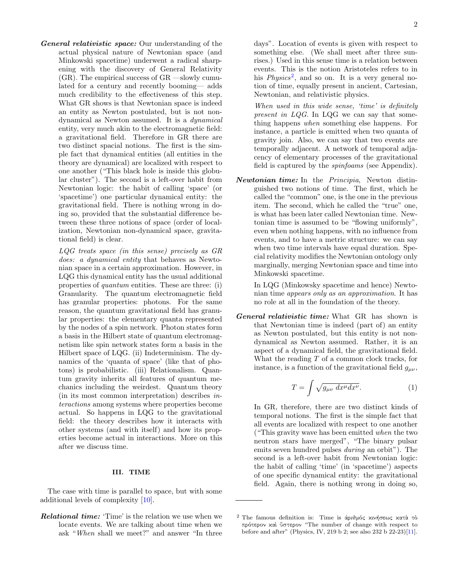General relativistic space: Our understanding of the actual physical nature of Newtonian space (and Minkowski spacetime) underwent a radical sharpening with the discovery of General Relativity (GR). The empirical success of GR —slowly cumulated for a century and recently booming— adds much credibility to the effectiveness of this step. What GR shows is that Newtonian space is indeed an entity as Newton postulated, but is not nondynamical as Newton assumed. It is a dynamical entity, very much akin to the electromagnetic field: a gravitational field. Therefore in GR there are two distinct spacial notions. The first is the simple fact that dynamical entities (all entities in the theory are dynamical) are localized with respect to one another ("This black hole is inside this globular cluster"). The second is a left-over habit from Newtonian logic: the habit of calling 'space' (or 'spacetime') one particular dynamical entity: the gravitational field. There is nothing wrong in doing so, provided that the substantial difference between these three notions of space (order of localization, Newtonian non-dynamical space, gravitational field) is clear.

LQG treats space (in this sense) precisely as GR does: a dynamical entity that behaves as Newtonian space in a certain approximation. However, in LQG this dynamical entity has the usual additional properties of quantum entities. These are three: (i) Granularity. The quantum electromagnetic field has granular properties: photons. For the same reason, the quantum gravitational field has granular properties: the elementary quanta represented by the nodes of a spin network. Photon states form a basis in the Hilbert state of quantum electromagnetism like spin network states form a basis in the Hilbert space of LQG. (ii) Indeterminism. The dynamics of the 'quanta of space' (like that of photons) is probabilistic. (iii) Relationalism. Quantum gravity inherits all features of quantum mechanics including the weirdest. Quantum theory (in its most common interpretation) describes interactions among systems where properties become actual. So happens in LQG to the gravitational field: the theory describes how it interacts with other systems (and with itself) and how its properties become actual in interactions. More on this after we discuss time.

### III. TIME

The case with time is parallel to space, but with some additional levels of complexity [\[10\]](#page-6-4).

Relational time: 'Time' is the relation we use when we locate events. We are talking about time when we ask "When shall we meet?" and answer "In three days". Location of events is given with respect to something else. (We shall meet after three sunrises.) Used in this sense time is a relation between events. This is the notion Aristoteles refers to in his  $Physics^2$  $Physics^2$ , and so on. It is a very general notion of time, equally present in ancient, Cartesian, Newtonian, and relativistic physics.

When used in this wide sense, 'time' is definitely present in LQG. In LQG we can say that something happens when something else happens. For instance, a particle is emitted when two quanta of gravity join. Also, we can say that two events are temporally adjacent. A network of temporal adjacency of elementary processes of the gravitational field is captured by the spinfoams (see Appendix).

Newtonian time: In the Principia, Newton distinguished two notions of time. The first, which he called the "common" one, is the one in the previous item. The second, which he called the "true" one, is what has been later called Newtonian time. Newtonian time is assumed to be "flowing uniformly", even when nothing happens, with no influence from events, and to have a metric structure: we can say when two time intervals have equal duration. Special relativity modifies the Newtonian ontology only marginally, merging Newtonian space and time into Minkowski spacetime.

In LQG (Minkowsky spacetime and hence) Newtonian time appears only as an approximation. It has no role at all in the foundation of the theory.

General relativistic time: What GR has shown is that Newtonian time is indeed (part of) an entity as Newton postulated, but this entity is not nondynamical as Newton assumed. Rather, it is an aspect of a dynamical field, the gravitational field. What the reading  $T$  of a common clock tracks, for instance, is a function of the gravitational field  $g_{\mu\nu}$ ,

<span id="page-1-1"></span>
$$
T = \int \sqrt{g_{\mu\nu} dx^{\mu} dx^{\nu}}.
$$
 (1)

In GR, therefore, there are two distinct kinds of temporal notions. The first is the simple fact that all events are localized with respect to one another ("This gravity wave has been emitted when the two neutron stars have merged", "The binary pulsar emits seven hundred pulses during an orbit"). The second is a left-over habit from Newtonian logic: the habit of calling 'time' (in 'spacetime') aspects of one specific dynamical entity: the gravitational field. Again, there is nothing wrong in doing so,

<span id="page-1-0"></span><sup>&</sup>lt;sup>2</sup> The famous definition is: Time is ἀριθμός κινήσεως κατὰ τὸ πρότερον καὶ ὖστερον "The number of change with respect to before and after" (Physics, IV, 219 b 2; see also 232 b 22-23)[\[11\]](#page-6-5).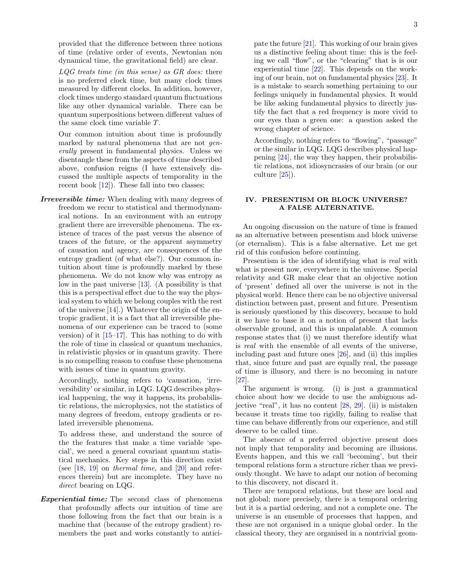provided that the difference between three notions of time (relative order of events, Newtonian non dynamical time, the gravitational field) are clear.

LQG treats time (in this sense) as GR does: there is no preferred clock time, but many clock times measured by different clocks. In addition, however, clock times undergo standard quantum fluctuations like any other dynamical variable. There can be quantum superpositions between different values of the same clock time variable T.

Our common intuition about time is profoundly marked by natural phenomena that are not *gen*erally present in fundamental physics. Unless we disentangle these from the aspects of time described above, confusion reigns (I have extensively discussed the multiple aspects of temporality in the recent book [\[12\]](#page-6-6)). These fall into two classes:

Irreversible time: When dealing with many degrees of freedom we recur to statistical and thermodynamical notions. In an environment with an entropy gradient there are irreversible phenomena. The existence of traces of the past versus the absence of traces of the future, or the apparent asymmetry of causation and agency, are consequences of the entropy gradient (of what else?). Our common intuition about time is profoundly marked by these phenomena. We do not know why was entropy as low in the past universe [\[13\]](#page-6-7). (A possibility is that this is a perspectival effect due to the way the physical system to which we belong couples with the rest of the universe [\[14\]](#page-6-8).) Whatever the origin of the entropic gradient, it is a fact that all irreversible phenomena of our experience can be traced to (some version) of it  $[15-17]$  $[15-17]$ . This has nothing to do with the role of time in classical or quantum mechanics, in relativistic physics or in quantum gravity. There is no compelling reason to confuse these phenomena with issues of time in quantum gravity.

Accordingly, nothing refers to 'causation, 'irreversibility' or similar, in LQG. LQG describes physical happening, the way it happens, its probabilistic relations, the microphysics, not the statistics of many degrees of freedom, entropy gradients or related irreversible phenomena.

To address these, and understand the source of the the features that make a time variable 'special', we need a general covariant quantum statistical mechanics. Key steps in this direction exist (see  $[18, 19]$  $[18, 19]$  on *thermal time*, and  $[20]$  and references therein) but are incomplete. They have no direct bearing on LQG.

Experiential time: The second class of phenomena that profoundly affects our intuition of time are those following from the fact that our brain is a machine that (because of the entropy gradient) remembers the past and works constantly to anticipate the future  $[21]$ . This working of our brain gives us a distinctive feeling about time: this is the feeling we call "flow", or the "clearing" that is is our experiential time [\[22\]](#page-6-15). This depends on the working of our brain, not on fundamental physics [\[23\]](#page-6-16). It is a mistake to search something pertaining to our feelings uniquely in fundamental physics. It would be like asking fundamental physics to directly justify the fact that a red frequency is more vivid to our eyes than a green one: a question asked the wrong chapter of science.

Accordingly, nothing refers to "flowing", "passage" or the similar in LQG. LQG describes physical happening [\[24\]](#page-6-17), the way they happen, their probabilistic relations, not idiosyncrasies of our brain (or our culture [\[25\]](#page-6-18)).

## IV. PRESENTISM OR BLOCK UNIVERSE? A FALSE ALTERNATIVE.

An ongoing discussion on the nature of time is framed as an alternative between presentism and block universe (or eternalism). This is a false alternative. Let me get rid of this confusion before continuing.

Presentism is the idea of identifying what is real with what is present now, everywhere in the universe. Special relativity and GR make clear that an objective notion of 'present' defined all over the universe is not in the physical world. Hence there can be no objective universal distinction between past, present and future. Presentism is seriously questioned by this discovery, because to hold it we have to base it on a notion of present that lacks observable ground, and this is unpalatable. A common response states that (i) we must therefore identify what is real with the ensemble of all events of the universe, including past and future ones [\[26\]](#page-6-19), and (ii) this implies that, since future and past are equally real, the passage of time is illusory, and there is no becoming in nature [\[27\]](#page-6-20).

The argument is wrong. (i) is just a grammatical choice about how we decide to use the ambiguous adjective "real", it has no content [\[28,](#page-6-21) [29\]](#page-6-22). (ii) is mistaken because it treats time too rigidly, failing to realise that time can behave differently from our experience, and still deserve to be called time.

The absence of a preferred objective present does not imply that temporality and becoming are illusions. Events happen, and this we call 'becoming', but their temporal relations form a structure richer than we previously thought. We have to adapt our notion of becoming to this discovery, not discard it.

There are temporal relations, but these are local and not global; more precisely, there is a temporal ordering but it is a partial ordering, and not a complete one. The universe is an ensemble of processes that happen, and these are not organised in a unique global order. In the classical theory, they are organised in a nontrivial geom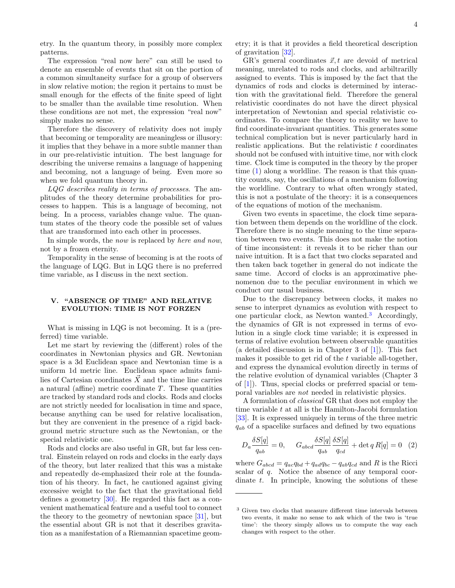etry. In the quantum theory, in possibly more complex patterns.

The expression "real now here" can still be used to denote an ensemble of events that sit on the portion of a common simultaneity surface for a group of observers in slow relative motion; the region it pertains to must be small enough for the effects of the finite speed of light to be smaller than the available time resolution. When these conditions are not met, the expression "real now" simply makes no sense.

Therefore the discovery of relativity does not imply that becoming or temporality are meaningless or illusory: it implies that they behave in a more subtle manner than in our pre-relativistic intuition. The best language for describing the universe remains a language of happening and becoming, not a language of being. Even more so when we fold quantum theory in.

LQG describes reality in terms of processes. The amplitudes of the theory determine probabilities for processes to happen. This is a language of becoming, not being. In a process, variables change value. The quantum states of the theory code the possible set of values that are transformed into each other in processes.

In simple words, the now is replaced by here and now, not by a frozen eternity.

Temporality in the sense of becoming is at the roots of the language of LQG. But in LQG there is no preferred time variable, as I discuss in the next section.

## V. "ABSENCE OF TIME" AND RELATIVE EVOLUTION: TIME IS NOT FORZEN

What is missing in LQG is not becoming. It is a (preferred) time variable.

Let me start by reviewing the (different) roles of the coordinates in Newtonian physics and GR. Newtonian space is a 3d Euclidean space and Newtonian time is a uniform 1d metric line. Euclidean space admits families of Cartesian coordinates  $\vec{X}$  and the time line carries a natural (affine) metric coordinate  $T$ . These quantities are tracked by standard rods and clocks. Rods and clocks are not strictly needed for localisation in time and space, because anything can be used for relative localisation, but they are convenient in the presence of a rigid background metric structure such as the Newtonian, or the special relativistic one.

Rods and clocks are also useful in GR, but far less central. Einstein relayed on rods and clocks in the early days of the theory, but later realized that this was a mistake and repeatedly de-emphasized their role at the foundation of his theory. In fact, he cautioned against giving excessive weight to the fact that the gravitational field defines a geometry [\[30\]](#page-6-23). He regarded this fact as a convenient mathematical feature and a useful tool to connect the theory to the geometry of newtonian space  $[31]$ , but the essential about GR is not that it describes gravitation as a manifestation of a Riemannian spacetime geometry; it is that it provides a field theoretical description of gravitation [\[32\]](#page-6-25).

GR's general coordinates  $\vec{x}, t$  are devoid of metrical meaning, unrelated to rods and clocks, and arbiltrarilly assigned to events. This is imposed by the fact that the dynamics of rods and clocks is determined by interaction with the gravitational field. Therefore the general relativistic coordinates do not have the direct physical interpretation of Newtonian and special relativistic coordinates. To compare the theory to reality we have to find coordinate-invariant quantities. This generates some technical complication but is never particularly hard in realistic applications. But the relativistic  $t$  coordinates should not be confused with intuitive time, nor with clock time. Clock time is computed in the theory by the proper time [\(1\)](#page-1-1) along a worldline. The reason is that this quantity counts, say, the oscillations of a mechanism following the worldline. Contrary to what often wrongly stated, this is not a postulate of the theory: it is a consequences of the equations of motion of the mechanism.

Given two events in spacetime, the clock time separation between them depends on the worldline of the clock. Therefore there is no single meaning to the time separation between two events. This does not make the notion of time inconsistent: it reveals it to be richer than our naive intuition. It is a fact that two clocks separated and then taken back together in general do not indicate the same time. Accord of clocks is an approximative phenomenon due to the peculiar environment in which we conduct our usual business.

Due to the discrepancy between clocks, it makes no sense to interpret dynamics as evolution with respect to one particular clock, as Newton wanted.[3](#page-3-0) Accordingly, the dynamics of GR is not expressed in terms of evolution in a single clock time variable; it is expressed in terms of relative evolution between observable quantities (a detailed discussion is in Chapter 3 of [\[1\]](#page-6-0)). This fact makes it possible to get rid of the  $t$  variable all-together, and express the dynamical evolution directly in terms of the relative evolution of dynamical variables (Chapter 3 of [\[1\]](#page-6-0)). Thus, special clocks or preferred spacial or temporal variables are not needed in relativistic physics.

A formulation of classical GR that does not employ the time variable  $t$  at all is the Hamilton-Jacobi formulation [\[33\]](#page-6-26). It is expressed uniquely in terms of the three metric  $q_{ab}$  of a spacelike surfaces and defined by two equations

<span id="page-3-1"></span>
$$
D_a \frac{\delta S[q]}{q_{ab}} = 0, \qquad G_{abcd} \frac{\delta S[q]}{q_{ab}} \frac{\delta S[q]}{q_{cd}} + \det q R[q] = 0 \quad (2)
$$

where  $G_{abcd} = q_{ac}q_{bd} + q_{ad}q_{bc} - q_{ab}q_{cd}$  and R is the Ricci scalar of q. Notice the absence of any temporal coordinate t. In principle, knowing the solutions of these

<span id="page-3-0"></span><sup>3</sup> Given two clocks that measure different time intervals between two events, it make no sense to ask which of the two is 'true time': the theory simply allows us to compute the way each changes with respect to the other.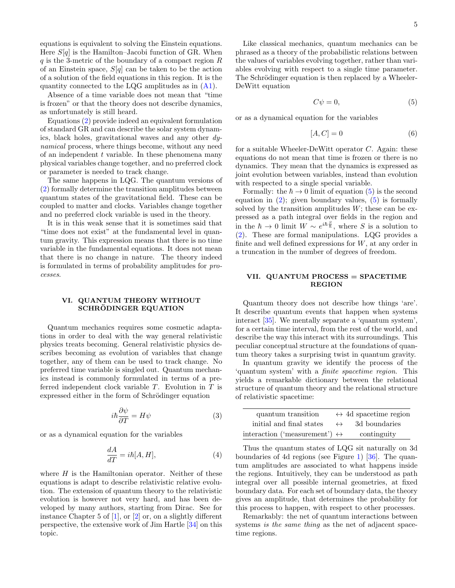equations is equivalent to solving the Einstein equations. Here  $S[q]$  is the Hamilton–Jacobi function of GR. When  $q$  is the 3-metric of the boundary of a compact region  $R$ of an Einstein space,  $S[q]$  can be taken to be the action of a solution of the field equations in this region. It is the quantity connected to the LQG amplitudes as in [\(A1\)](#page-6-27).

Absence of a time variable does not mean that "time is frozen" or that the theory does not describe dynamics, as unfortunately is still heard.

Equations [\(2\)](#page-3-1) provide indeed an equivalent formulation of standard GR and can describe the solar system dynamics, black holes, gravitational waves and any other dynamical process, where things become, without any need of an independent  $t$  variable. In these phenomena many physical variables change together, and no preferred clock or parameter is needed to track change.

The same happens in LQG. The quantum versions of [\(2\)](#page-3-1) formally determine the transition amplitudes between quantum states of the gravitational field. These can be coupled to matter and clocks. Variables change together and no preferred clock variable is used in the theory.

It is in this weak sense that it is sometimes said that "time does not exist" at the fundamental level in quantum gravity. This expression means that there is no time variable in the fundamental equations. It does not mean that there is no change in nature. The theory indeed is formulated in terms of probability amplitudes for processes.

## VI. QUANTUM THEORY WITHOUT SCHRÖDINGER EQUATION

Quantum mechanics requires some cosmetic adaptations in order to deal with the way general relativistic physics treats becoming. General relativistic physics describes becoming as evolution of variables that change together, any of them can be used to track change. No preferred time variable is singled out. Quantum mechanics instead is commonly formulated in terms of a preferred independent clock variable  $T$ . Evolution in  $T$  is expressed either in the form of Schrödinger equation

$$
i\hbar \frac{\partial \psi}{\partial T} = H\psi \tag{3}
$$

or as a dynamical equation for the variables

$$
\frac{dA}{dT} = i\hbar[A, H],\tag{4}
$$

where  $H$  is the Hamiltonian operator. Neither of these equations is adapt to describe relativistic relative evolution. The extension of quantum theory to the relativistic evolution is however not very hard, and has been developed by many authors, starting from Dirac. See for instance Chapter 5 of [\[1\]](#page-6-0), or [\[2\]](#page-6-28) or, on a slightly different perspective, the extensive work of Jim Hartle [\[34\]](#page-6-29) on this topic.

Like classical mechanics, quantum mechanics can be phrased as a theory of the probabilistic relations between the values of variables evolving together, rather than variables evolving with respect to a single time parameter. The Schrödinger equation is then replaced by a Wheeler-DeWitt equation

<span id="page-4-0"></span>
$$
C\psi = 0,\t\t(5)
$$

or as a dynamical equation for the variables

$$
[A, C] = 0 \tag{6}
$$

for a suitable Wheeler-DeWitt operator  $C$ . Again: these equations do not mean that time is frozen or there is no dynamics. They mean that the dynamics is expressed as joint evolution between variables, instead than evolution with respected to a single special variable.

Formally: the  $\hbar \rightarrow 0$  limit of equation [\(5\)](#page-4-0) is the second equation in  $(2)$ ; given boundary values,  $(5)$  is formally solved by the transition amplitudes  $W$ ; these can be expressed as a path integral over fields in the region and in the  $\hbar \to 0$  limit  $W \sim e^{i\hbar \frac{S}{\hbar}}$ , where S is a solution to [\(2\)](#page-3-1). These are formal manipulations. LQG provides a finite and well defined expressions for  $W$ , at any order in a truncation in the number of degrees of freedom.

## VII. QUANTUM PROCESS = SPACETIME REGION

Quantum theory does not describe how things 'are'. It describe quantum events that happen when systems interact [\[35\]](#page-6-30). We mentally separate a 'quantum system', for a certain time interval, from the rest of the world, and describe the way this interact with its surroundings. This peculiar conceptual structure at the foundations of quantum theory takes a surprising twist in quantum gravity.

In quantum gravity we identify the process of the 'quantum system' with a finite spacetime region. This yields a remarkable dictionary between the relational structure of quantum theory and the relational structure of relativistic spacetime:

| quantum transition                            |                   | $\leftrightarrow$ 4d spacetime region |
|-----------------------------------------------|-------------------|---------------------------------------|
| initial and final states                      | $\leftrightarrow$ | 3d boundaries                         |
| interaction ('measurement') $\leftrightarrow$ |                   | continguity                           |

Thus the quantum states of LQG sit naturally on 3d boundaries of 4d regions (see Figure [1\)](#page-5-0) [\[36\]](#page-6-31). The quantum amplitudes are associated to what happens inside the regions. Intuitively, they can be understood as path integral over all possible internal geometries, at fixed boundary data. For each set of boundary data, the theory gives an amplitude, that determines the probability for this process to happen, with respect to other processes.

Remarkably: the net of quantum interactions between systems *is the same thing* as the net of adjacent spacetime regions.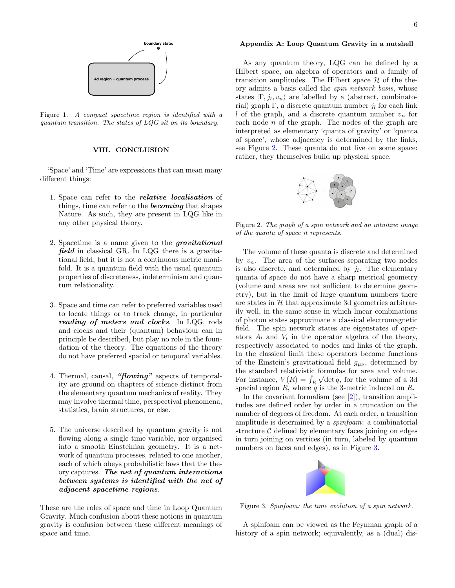

<span id="page-5-0"></span>Figure 1. A compact spacetime region is identified with a quantum transition. The states of LQG sit on its boundary.

#### VIII. CONCLUSION

'Space' and 'Time' are expressions that can mean many different things:

- 1. Space can refer to the *relative localisation* of things, time can refer to the **becoming** that shapes Nature. As such, they are present in LQG like in any other physical theory.
- 2. Spacetime is a name given to the *gravitational* field in classical GR. In LQG there is a gravitational field, but it is not a continuous metric manifold. It is a quantum field with the usual quantum properties of discreteness, indeterminism and quantum relationality.
- 3. Space and time can refer to preferred variables used to locate things or to track change, in particular reading of meters and clocks. In LQG, rods and clocks and their (quantum) behaviour can in principle be described, but play no role in the foundation of the theory. The equations of the theory do not have preferred spacial or temporal variables.
- 4. Thermal, causal, "*flowing*" aspects of temporality are ground on chapters of science distinct from the elementary quantum mechanics of reality. They may involve thermal time, perspectival phenomena, statistics, brain structures, or else.
- 5. The universe described by quantum gravity is not flowing along a single time variable, nor organised into a smooth Einsteinian geometry. It is a network of quantum processes, related to one another, each of which obeys probabilistic laws that the theory captures. The net of quantum interactions between systems is identified with the net of adjacent spacetime regions.

These are the roles of space and time in Loop Quantum Gravity. Much confusion about these notions in quantum gravity is confusion between these different meanings of space and time.

### Appendix A: Loop Quantum Gravity in a nutshell

As any quantum theory, LQG can be defined by a Hilbert space, an algebra of operators and a family of transition amplitudes. The Hilbert space  $\mathcal H$  of the theory admits a basis called the spin network basis, whose states  $|\Gamma, j_l, v_n\rangle$  are labelled by a (abstract, combinatorial) graph Γ, a discrete quantum number  $j_l$  for each link l of the graph, and a discrete quantum number  $v_n$  for each node  $n$  of the graph. The nodes of the graph are interpreted as elementary 'quanta of gravity' or 'quanta of space', whose adjacency is determined by the links, see Figure [2.](#page-5-1) These quanta do not live on some space: rather, they themselves build up physical space.



<span id="page-5-1"></span>Figure 2. The graph of a spin network and an intuitive image of the quanta of space it represents.

The volume of these quanta is discrete and determined by  $v_n$ . The area of the surfaces separating two nodes is also discrete, and determined by  $j_l$ . The elementary quanta of space do not have a sharp metrical geometry (volume and areas are not sufficient to determine geometry), but in the limit of large quantum numbers there are states in  $H$  that approximate 3d geometries arbitrarily well, in the same sense in which linear combinations of photon states approximate a classical electromagnetic field. The spin network states are eigenstates of operators  $A_l$  and  $V_l$  in the operator algebra of the theory, respectively associated to nodes and links of the graph. In the classical limit these operators become functions of the Einstein's gravitational field  $g_{\mu\nu}$ , determined by the standard relativistic formulas for area and volume. √ For instance,  $V(R) = \int_R \sqrt{\det q}$ , for the volume of a 3d spacial region  $R$ , where  $q$  is the 3-metric induced on  $R$ .

In the covariant formalism (see  $[2]$ ), transition amplitudes are defined order by order in a truncation on the number of degrees of freedom. At each order, a transition amplitude is determined by a spinfoam: a combinatorial structure  $\mathcal C$  defined by elementary faces joining on edges in turn joining on vertices (in turn, labeled by quantum numbers on faces and edges), as in Figure [3.](#page-5-2)



<span id="page-5-2"></span>Figure 3. Spinfoam: the time evolution of a spin network.

A spinfoam can be viewed as the Feynman graph of a history of a spin network; equivalently, as a (dual) dis